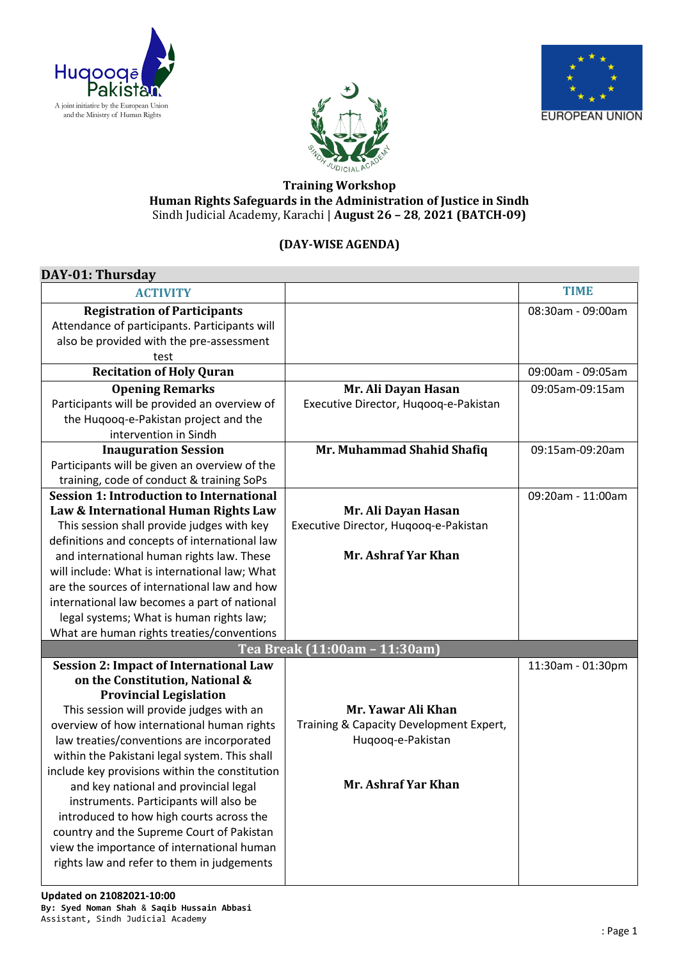





## **Training Workshop Human Rights Safeguards in the Administration of Justice in Sindh** Sindh Judicial Academy, Karachi | **August 26 – 28**, **2021 (BATCH-09)**

## **(DAY-WISE AGENDA)**

| DAY-01: Thursday                                |                                         |                   |
|-------------------------------------------------|-----------------------------------------|-------------------|
| <b>ACTIVITY</b>                                 |                                         | <b>TIME</b>       |
| <b>Registration of Participants</b>             |                                         | 08:30am - 09:00am |
| Attendance of participants. Participants will   |                                         |                   |
| also be provided with the pre-assessment        |                                         |                   |
| test                                            |                                         |                   |
| <b>Recitation of Holy Quran</b>                 |                                         | 09:00am - 09:05am |
| <b>Opening Remarks</b>                          | Mr. Ali Dayan Hasan                     | 09:05am-09:15am   |
| Participants will be provided an overview of    | Executive Director, Huqooq-e-Pakistan   |                   |
| the Huqooq-e-Pakistan project and the           |                                         |                   |
| intervention in Sindh                           |                                         |                   |
| <b>Inauguration Session</b>                     | Mr. Muhammad Shahid Shafiq              | 09:15am-09:20am   |
| Participants will be given an overview of the   |                                         |                   |
| training, code of conduct & training SoPs       |                                         |                   |
| <b>Session 1: Introduction to International</b> |                                         | 09:20am - 11:00am |
| Law & International Human Rights Law            | Mr. Ali Dayan Hasan                     |                   |
| This session shall provide judges with key      | Executive Director, Hugoog-e-Pakistan   |                   |
| definitions and concepts of international law   |                                         |                   |
| and international human rights law. These       | Mr. Ashraf Yar Khan                     |                   |
| will include: What is international law; What   |                                         |                   |
| are the sources of international law and how    |                                         |                   |
| international law becomes a part of national    |                                         |                   |
| legal systems; What is human rights law;        |                                         |                   |
| What are human rights treaties/conventions      |                                         |                   |
| Tea Break (11:00am - 11:30am)                   |                                         |                   |
| <b>Session 2: Impact of International Law</b>   |                                         | 11:30am - 01:30pm |
| on the Constitution, National &                 |                                         |                   |
| <b>Provincial Legislation</b>                   |                                         |                   |
| This session will provide judges with an        | Mr. Yawar Ali Khan                      |                   |
| overview of how international human rights      | Training & Capacity Development Expert, |                   |
| law treaties/conventions are incorporated       | Huqooq-e-Pakistan                       |                   |
| within the Pakistani legal system. This shall   |                                         |                   |
| include key provisions within the constitution  |                                         |                   |
| and key national and provincial legal           | Mr. Ashraf Yar Khan                     |                   |
| instruments. Participants will also be          |                                         |                   |
| introduced to how high courts across the        |                                         |                   |
| country and the Supreme Court of Pakistan       |                                         |                   |
| view the importance of international human      |                                         |                   |
| rights law and refer to them in judgements      |                                         |                   |
|                                                 |                                         |                   |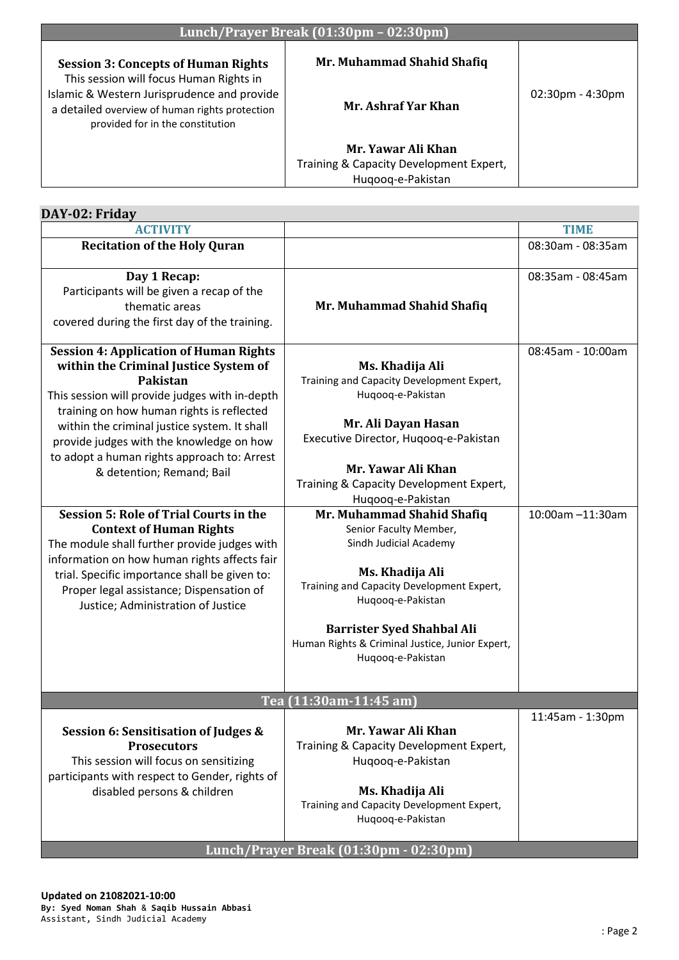| Lunch/Prayer Break (01:30pm - 02:30pm)                                                                                            |                                         |                     |
|-----------------------------------------------------------------------------------------------------------------------------------|-----------------------------------------|---------------------|
| <b>Session 3: Concepts of Human Rights</b><br>This session will focus Human Rights in                                             | Mr. Muhammad Shahid Shafiq              |                     |
| Islamic & Western Jurisprudence and provide<br>a detailed overview of human rights protection<br>provided for in the constitution | Mr. Ashraf Yar Khan                     | $02:30$ pm - 4:30pm |
|                                                                                                                                   | Mr. Yawar Ali Khan                      |                     |
|                                                                                                                                   | Training & Capacity Development Expert, |                     |
|                                                                                                                                   | Hugoog-e-Pakistan                       |                     |

| DAY-02: Friday                                                                                                                                                                                                                                                                                                                                                                                                                                                                                                                                                                                                                                                                                         |                                                                                                                                                                                                                                                                                                                                                                                                                                                                                                                             |                                       |
|--------------------------------------------------------------------------------------------------------------------------------------------------------------------------------------------------------------------------------------------------------------------------------------------------------------------------------------------------------------------------------------------------------------------------------------------------------------------------------------------------------------------------------------------------------------------------------------------------------------------------------------------------------------------------------------------------------|-----------------------------------------------------------------------------------------------------------------------------------------------------------------------------------------------------------------------------------------------------------------------------------------------------------------------------------------------------------------------------------------------------------------------------------------------------------------------------------------------------------------------------|---------------------------------------|
| <b>ACTIVITY</b>                                                                                                                                                                                                                                                                                                                                                                                                                                                                                                                                                                                                                                                                                        |                                                                                                                                                                                                                                                                                                                                                                                                                                                                                                                             | <b>TIME</b>                           |
| <b>Recitation of the Holy Quran</b>                                                                                                                                                                                                                                                                                                                                                                                                                                                                                                                                                                                                                                                                    |                                                                                                                                                                                                                                                                                                                                                                                                                                                                                                                             | 08:30am - 08:35am                     |
| Day 1 Recap:<br>Participants will be given a recap of the<br>thematic areas<br>covered during the first day of the training.                                                                                                                                                                                                                                                                                                                                                                                                                                                                                                                                                                           | Mr. Muhammad Shahid Shafiq                                                                                                                                                                                                                                                                                                                                                                                                                                                                                                  | 08:35am - 08:45am                     |
| <b>Session 4: Application of Human Rights</b><br>within the Criminal Justice System of<br><b>Pakistan</b><br>This session will provide judges with in-depth<br>training on how human rights is reflected<br>within the criminal justice system. It shall<br>provide judges with the knowledge on how<br>to adopt a human rights approach to: Arrest<br>& detention; Remand; Bail<br><b>Session 5: Role of Trial Courts in the</b><br><b>Context of Human Rights</b><br>The module shall further provide judges with<br>information on how human rights affects fair<br>trial. Specific importance shall be given to:<br>Proper legal assistance; Dispensation of<br>Justice; Administration of Justice | Ms. Khadija Ali<br>Training and Capacity Development Expert,<br>Huqooq-e-Pakistan<br>Mr. Ali Dayan Hasan<br>Executive Director, Huqooq-e-Pakistan<br>Mr. Yawar Ali Khan<br>Training & Capacity Development Expert,<br>Huqooq-e-Pakistan<br>Mr. Muhammad Shahid Shafiq<br>Senior Faculty Member,<br>Sindh Judicial Academy<br>Ms. Khadija Ali<br>Training and Capacity Development Expert,<br>Huqooq-e-Pakistan<br><b>Barrister Syed Shahbal Ali</b><br>Human Rights & Criminal Justice, Junior Expert,<br>Huqooq-e-Pakistan | 08:45am - 10:00am<br>10:00am -11:30am |
|                                                                                                                                                                                                                                                                                                                                                                                                                                                                                                                                                                                                                                                                                                        | Tea (11:30am-11:45 am)                                                                                                                                                                                                                                                                                                                                                                                                                                                                                                      |                                       |
| Session 6: Sensitisation of Judges &<br><b>Prosecutors</b><br>This session will focus on sensitizing<br>participants with respect to Gender, rights of<br>disabled persons & children                                                                                                                                                                                                                                                                                                                                                                                                                                                                                                                  | Mr. Yawar Ali Khan<br>Training & Capacity Development Expert,<br>Huqooq-e-Pakistan<br>Ms. Khadija Ali<br>Training and Capacity Development Expert,<br>Huqooq-e-Pakistan                                                                                                                                                                                                                                                                                                                                                     | 11:45am - 1:30pm                      |
|                                                                                                                                                                                                                                                                                                                                                                                                                                                                                                                                                                                                                                                                                                        | Lunch/Prayer Break (01:30pm - 02:30pm)                                                                                                                                                                                                                                                                                                                                                                                                                                                                                      |                                       |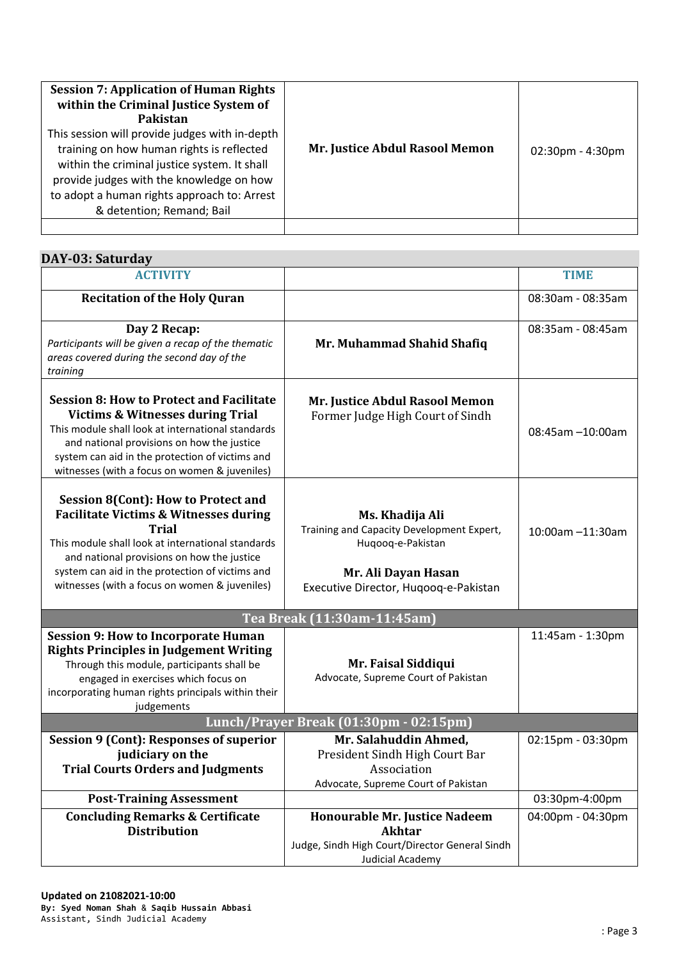| <b>Session 7: Application of Human Rights</b><br>within the Criminal Justice System of<br>Pakistan<br>This session will provide judges with in-depth<br>training on how human rights is reflected<br>within the criminal justice system. It shall<br>provide judges with the knowledge on how<br>to adopt a human rights approach to: Arrest<br>& detention; Remand; Bail | Mr. Justice Abdul Rasool Memon | $02:30$ pm - 4:30pm |
|---------------------------------------------------------------------------------------------------------------------------------------------------------------------------------------------------------------------------------------------------------------------------------------------------------------------------------------------------------------------------|--------------------------------|---------------------|
|                                                                                                                                                                                                                                                                                                                                                                           |                                |                     |

| DAY-03: Saturday                                                                                                                                                                                                                                                                                                      |                                                                                                                                                   |                   |
|-----------------------------------------------------------------------------------------------------------------------------------------------------------------------------------------------------------------------------------------------------------------------------------------------------------------------|---------------------------------------------------------------------------------------------------------------------------------------------------|-------------------|
| <b>ACTIVITY</b>                                                                                                                                                                                                                                                                                                       |                                                                                                                                                   | <b>TIME</b>       |
| <b>Recitation of the Holy Quran</b>                                                                                                                                                                                                                                                                                   |                                                                                                                                                   | 08:30am - 08:35am |
| Day 2 Recap:<br>Participants will be given a recap of the thematic<br>areas covered during the second day of the<br>training                                                                                                                                                                                          | Mr. Muhammad Shahid Shafiq                                                                                                                        | 08:35am - 08:45am |
| <b>Session 8: How to Protect and Facilitate</b><br><b>Victims &amp; Witnesses during Trial</b><br>This module shall look at international standards<br>and national provisions on how the justice<br>system can aid in the protection of victims and<br>witnesses (with a focus on women & juveniles)                 | Mr. Justice Abdul Rasool Memon<br>Former Judge High Court of Sindh                                                                                | 08:45am -10:00am  |
| <b>Session 8(Cont): How to Protect and</b><br><b>Facilitate Victims &amp; Witnesses during</b><br><b>Trial</b><br>This module shall look at international standards<br>and national provisions on how the justice<br>system can aid in the protection of victims and<br>witnesses (with a focus on women & juveniles) | Ms. Khadija Ali<br>Training and Capacity Development Expert,<br>Huqooq-e-Pakistan<br>Mr. Ali Dayan Hasan<br>Executive Director, Huqooq-e-Pakistan | 10:00am -11:30am  |
|                                                                                                                                                                                                                                                                                                                       | Tea Break (11:30am-11:45am)                                                                                                                       |                   |
| <b>Session 9: How to Incorporate Human</b><br><b>Rights Principles in Judgement Writing</b><br>Through this module, participants shall be<br>engaged in exercises which focus on<br>incorporating human rights principals within their<br>judgements                                                                  | Mr. Faisal Siddiqui<br>Advocate, Supreme Court of Pakistan                                                                                        | 11:45am - 1:30pm  |
| Lunch/Prayer Break (01:30pm - 02:15pm)                                                                                                                                                                                                                                                                                |                                                                                                                                                   |                   |
| <b>Session 9 (Cont): Responses of superior</b><br>judiciary on the<br><b>Trial Courts Orders and Judgments</b>                                                                                                                                                                                                        | Mr. Salahuddin Ahmed,<br>President Sindh High Court Bar<br>Association<br>Advocate, Supreme Court of Pakistan                                     | 02:15pm - 03:30pm |
| <b>Post-Training Assessment</b>                                                                                                                                                                                                                                                                                       |                                                                                                                                                   | 03:30pm-4:00pm    |
| <b>Concluding Remarks &amp; Certificate</b><br><b>Distribution</b>                                                                                                                                                                                                                                                    | Honourable Mr. Justice Nadeem<br><b>Akhtar</b><br>Judge, Sindh High Court/Director General Sindh<br><b>Judicial Academy</b>                       | 04:00pm - 04:30pm |

I